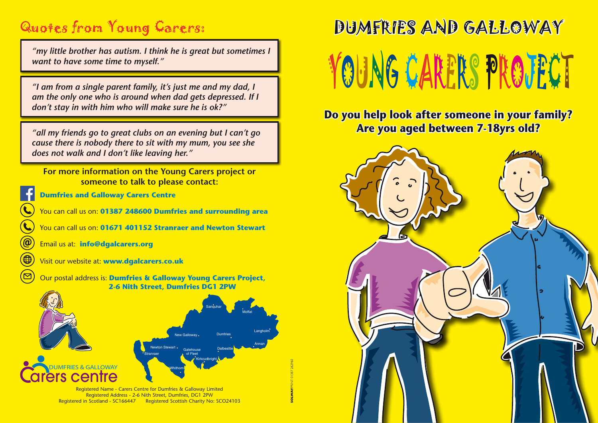## Quotes from Young Carers:

*"my little brother has autism. I think he is great but sometimes I want to have some time to myself."*

*"I am from a single parent family, it's just me and my dad, I am the only one who is around when dad gets depressed. If I don't stay in with him who will make sure he is ok?"*

*"all my friends go to great clubs on an evening but I can't go cause there is nobody there to sit with my mum, you see she does not walk and I don't like leaving her."*

**For more information on the Young Carers project or someone to talk to please contact:**

**Dumfries and Galloway Carers Centre**

You can call us on: **01387 248600 Dumfries and surrounding area**

You can call us on: **01671 401152 Stranraer and Newton Stewart**

Email us at: **info@dgalcarers.org**

Visit our website at: **www.dgalcarers.co.uk**

Our postal address is: **Dumfries & Galloway Young Carers Project, 2-6 Nith Street, Dumfries DG1 2PW**



Registered Name - Carers Centre for Dumfries & Galloway Limited Registered Address - 2-6 Nith Street, Dumfries, DG1 2PW Registered in Scotland - SC166447 Registered Scottish Charity No: SCO24103

# DUMFRIES AND GALLOWAY YOUNG CARERS PROJECT

**Do you help look after someone in your family? Are you aged between 7-18yrs old?**